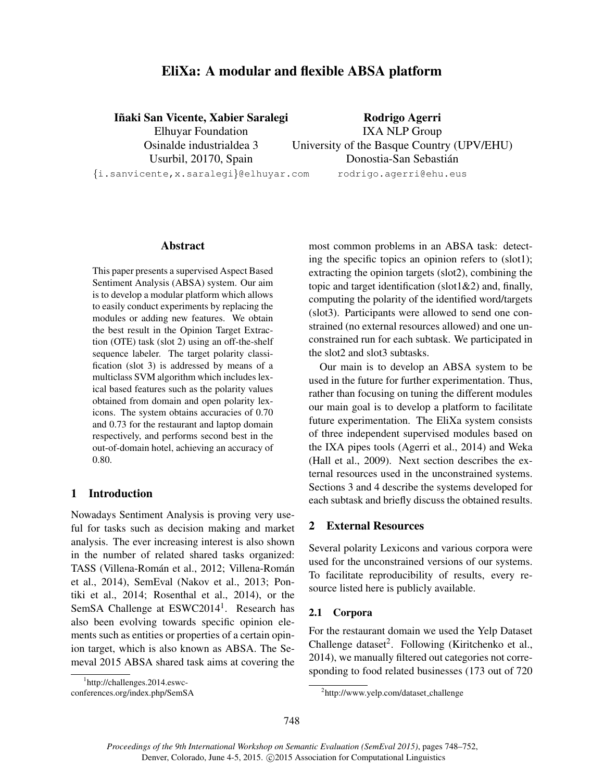# EliXa: A modular and flexible ABSA platform

### Iñaki San Vicente, Xabier Saralegi

Elhuyar Foundation Osinalde industrialdea 3 Usurbil, 20170, Spain {i.sanvicente,x.saralegi}@elhuyar.com

Rodrigo Agerri IXA NLP Group University of the Basque Country (UPV/EHU) Donostia-San Sebastian´ rodrigo.agerri@ehu.eus

#### Abstract

This paper presents a supervised Aspect Based Sentiment Analysis (ABSA) system. Our aim is to develop a modular platform which allows to easily conduct experiments by replacing the modules or adding new features. We obtain the best result in the Opinion Target Extraction (OTE) task (slot 2) using an off-the-shelf sequence labeler. The target polarity classification (slot 3) is addressed by means of a multiclass SVM algorithm which includes lexical based features such as the polarity values obtained from domain and open polarity lexicons. The system obtains accuracies of 0.70 and 0.73 for the restaurant and laptop domain respectively, and performs second best in the out-of-domain hotel, achieving an accuracy of 0.80.

## 1 Introduction

Nowadays Sentiment Analysis is proving very useful for tasks such as decision making and market analysis. The ever increasing interest is also shown in the number of related shared tasks organized: TASS (Villena-Román et al., 2012; Villena-Román et al., 2014), SemEval (Nakov et al., 2013; Pontiki et al., 2014; Rosenthal et al., 2014), or the SemSA Challenge at ESWC2014<sup>1</sup>. Research has also been evolving towards specific opinion elements such as entities or properties of a certain opinion target, which is also known as ABSA. The Semeval 2015 ABSA shared task aims at covering the most common problems in an ABSA task: detecting the specific topics an opinion refers to (slot1); extracting the opinion targets (slot2), combining the topic and target identification (slot1 $\&$ 2) and, finally, computing the polarity of the identified word/targets (slot3). Participants were allowed to send one constrained (no external resources allowed) and one unconstrained run for each subtask. We participated in the slot2 and slot3 subtasks.

Our main is to develop an ABSA system to be used in the future for further experimentation. Thus, rather than focusing on tuning the different modules our main goal is to develop a platform to facilitate future experimentation. The EliXa system consists of three independent supervised modules based on the IXA pipes tools (Agerri et al., 2014) and Weka (Hall et al., 2009). Next section describes the external resources used in the unconstrained systems. Sections 3 and 4 describe the systems developed for each subtask and briefly discuss the obtained results.

# 2 External Resources

Several polarity Lexicons and various corpora were used for the unconstrained versions of our systems. To facilitate reproducibility of results, every resource listed here is publicly available.

#### 2.1 Corpora

For the restaurant domain we used the Yelp Dataset Challenge dataset<sup>2</sup>. Following (Kiritchenko et al., 2014), we manually filtered out categories not corresponding to food related businesses (173 out of 720

<sup>1</sup> http://challenges.2014.eswc-

conferences.org/index.php/SemSA

<sup>2</sup> http://www.yelp.com/dataset challenge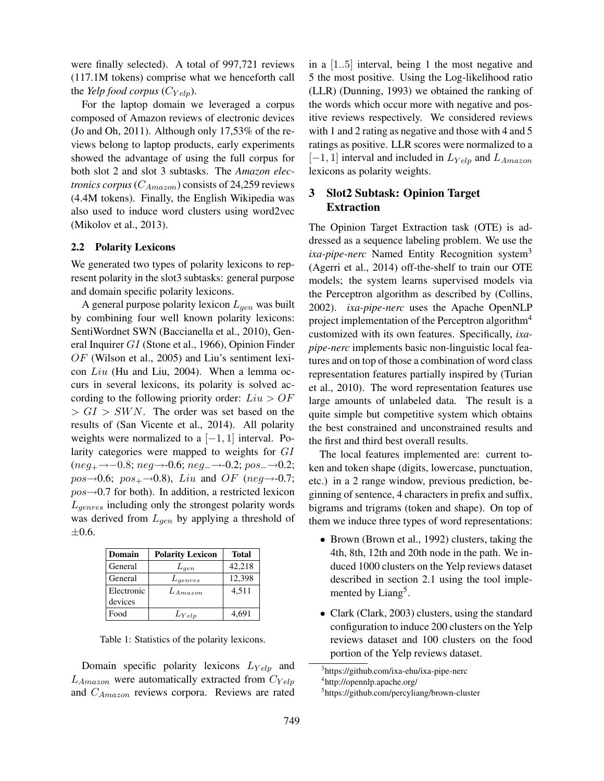were finally selected). A total of 997,721 reviews (117.1M tokens) comprise what we henceforth call the *Yelp food corpus*  $(C_{Yelp})$ .

For the laptop domain we leveraged a corpus composed of Amazon reviews of electronic devices (Jo and Oh, 2011). Although only 17,53% of the reviews belong to laptop products, early experiments showed the advantage of using the full corpus for both slot 2 and slot 3 subtasks. The *Amazon electronics corpus* ( $C_{Amaxon}$ ) consists of 24,259 reviews (4.4M tokens). Finally, the English Wikipedia was also used to induce word clusters using word2vec (Mikolov et al., 2013).

#### 2.2 Polarity Lexicons

We generated two types of polarity lexicons to represent polarity in the slot3 subtasks: general purpose and domain specific polarity lexicons.

A general purpose polarity lexicon  $L_{gen}$  was built by combining four well known polarity lexicons: SentiWordnet SWN (Baccianella et al., 2010), General Inquirer GI (Stone et al., 1966), Opinion Finder OF (Wilson et al., 2005) and Liu's sentiment lexicon Liu (Hu and Liu, 2004). When a lemma occurs in several lexicons, its polarity is solved according to the following priority order:  $Liu > OF$  $> GI > SWN$ . The order was set based on the results of (San Vicente et al., 2014). All polarity weights were normalized to a  $[-1, 1]$  interval. Polarity categories were mapped to weights for GI  $(neg_+ \rightarrow -0.8; neg \rightarrow -0.6; neg \rightarrow -0.2; pos \rightarrow -0.2;$  $pos\rightarrow 0.6$ ;  $pos_+\rightarrow 0.8$ ), Liu and OF (neg $\rightarrow$ -0.7;  $pos\rightarrow 0.7$  for both). In addition, a restricted lexicon  $L_{\text{generes}}$  including only the strongest polarity words was derived from  $L_{gen}$  by applying a threshold of  $\pm 0.6$ .

| Domain     | <b>Polarity Lexicon</b> | <b>Total</b> |
|------------|-------------------------|--------------|
| General    | $L_{gen}$               | 42,218       |
| General    | $L_{qenres}$            | 12,398       |
| Electronic | $L_{A maxon}$           | 4.511        |
| devices    |                         |              |
| Food       | $L_{Yelp}$              | 4.691        |

Table 1: Statistics of the polarity lexicons.

Domain specific polarity lexicons  $L_{Yelp}$  and  $L_{Amaxon}$  were automatically extracted from  $C_{Yelp}$ and  $C_{Amaxon}$  reviews corpora. Reviews are rated

in a [1..5] interval, being 1 the most negative and 5 the most positive. Using the Log-likelihood ratio (LLR) (Dunning, 1993) we obtained the ranking of the words which occur more with negative and positive reviews respectively. We considered reviews with 1 and 2 rating as negative and those with 4 and 5 ratings as positive. LLR scores were normalized to a  $[-1, 1]$  interval and included in  $L_{Yelp}$  and  $L_{Amaxon}$ lexicons as polarity weights.

## 3 Slot2 Subtask: Opinion Target Extraction

The Opinion Target Extraction task (OTE) is addressed as a sequence labeling problem. We use the *ixa-pipe-nerc* Named Entity Recognition system<sup>3</sup> (Agerri et al., 2014) off-the-shelf to train our OTE models; the system learns supervised models via the Perceptron algorithm as described by (Collins, 2002). *ixa-pipe-nerc* uses the Apache OpenNLP project implementation of the Perceptron algorithm<sup>4</sup> customized with its own features. Specifically, *ixapipe-nerc* implements basic non-linguistic local features and on top of those a combination of word class representation features partially inspired by (Turian et al., 2010). The word representation features use large amounts of unlabeled data. The result is a quite simple but competitive system which obtains the best constrained and unconstrained results and the first and third best overall results.

The local features implemented are: current token and token shape (digits, lowercase, punctuation, etc.) in a 2 range window, previous prediction, beginning of sentence, 4 characters in prefix and suffix, bigrams and trigrams (token and shape). On top of them we induce three types of word representations:

- Brown (Brown et al., 1992) clusters, taking the 4th, 8th, 12th and 20th node in the path. We induced 1000 clusters on the Yelp reviews dataset described in section 2.1 using the tool implemented by Liang<sup>5</sup>.
- Clark (Clark, 2003) clusters, using the standard configuration to induce 200 clusters on the Yelp reviews dataset and 100 clusters on the food portion of the Yelp reviews dataset.

<sup>&</sup>lt;sup>3</sup>https://github.com/ixa-ehu/ixa-pipe-nerc

<sup>4</sup> http://opennlp.apache.org/

<sup>5</sup> https://github.com/percyliang/brown-cluster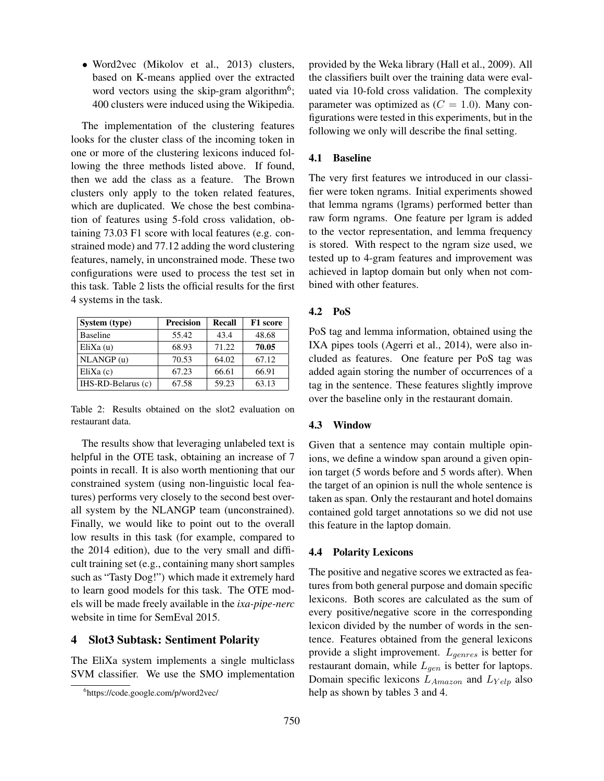• Word2vec (Mikolov et al., 2013) clusters, based on K-means applied over the extracted word vectors using the skip-gram algorithm<sup>6</sup>; 400 clusters were induced using the Wikipedia.

The implementation of the clustering features looks for the cluster class of the incoming token in one or more of the clustering lexicons induced following the three methods listed above. If found, then we add the class as a feature. The Brown clusters only apply to the token related features, which are duplicated. We chose the best combination of features using 5-fold cross validation, obtaining 73.03 F1 score with local features (e.g. constrained mode) and 77.12 adding the word clustering features, namely, in unconstrained mode. These two configurations were used to process the test set in this task. Table 2 lists the official results for the first 4 systems in the task.

| System (type)      | <b>Precision</b> | <b>Recall</b> | F1 score |
|--------------------|------------------|---------------|----------|
| <b>Baseline</b>    | 55.42            | 43.4          | 48.68    |
| EliXa(u)           | 68.93            | 71.22         | 70.05    |
| NLANGP(u)          | 70.53            | 64.02         | 67.12    |
| $E$ liXa $(c)$     | 67.23            | 66.61         | 66.91    |
| IHS-RD-Belarus (c) | 67.58            | 59.23         | 63.13    |

Table 2: Results obtained on the slot2 evaluation on restaurant data.

The results show that leveraging unlabeled text is helpful in the OTE task, obtaining an increase of 7 points in recall. It is also worth mentioning that our constrained system (using non-linguistic local features) performs very closely to the second best overall system by the NLANGP team (unconstrained). Finally, we would like to point out to the overall low results in this task (for example, compared to the 2014 edition), due to the very small and difficult training set (e.g., containing many short samples such as "Tasty Dog!") which made it extremely hard to learn good models for this task. The OTE models will be made freely available in the *ixa-pipe-nerc* website in time for SemEval 2015.

### 4 Slot3 Subtask: Sentiment Polarity

The EliXa system implements a single multiclass SVM classifier. We use the SMO implementation provided by the Weka library (Hall et al., 2009). All the classifiers built over the training data were evaluated via 10-fold cross validation. The complexity parameter was optimized as  $(C = 1.0)$ . Many configurations were tested in this experiments, but in the following we only will describe the final setting.

### 4.1 Baseline

The very first features we introduced in our classifier were token ngrams. Initial experiments showed that lemma ngrams (lgrams) performed better than raw form ngrams. One feature per lgram is added to the vector representation, and lemma frequency is stored. With respect to the ngram size used, we tested up to 4-gram features and improvement was achieved in laptop domain but only when not combined with other features.

#### 4.2 PoS

PoS tag and lemma information, obtained using the IXA pipes tools (Agerri et al., 2014), were also included as features. One feature per PoS tag was added again storing the number of occurrences of a tag in the sentence. These features slightly improve over the baseline only in the restaurant domain.

#### 4.3 Window

Given that a sentence may contain multiple opinions, we define a window span around a given opinion target (5 words before and 5 words after). When the target of an opinion is null the whole sentence is taken as span. Only the restaurant and hotel domains contained gold target annotations so we did not use this feature in the laptop domain.

#### 4.4 Polarity Lexicons

The positive and negative scores we extracted as features from both general purpose and domain specific lexicons. Both scores are calculated as the sum of every positive/negative score in the corresponding lexicon divided by the number of words in the sentence. Features obtained from the general lexicons provide a slight improvement.  $L_{\text{genses}}$  is better for restaurant domain, while  $L_{gen}$  is better for laptops. Domain specific lexicons  $L_{Amaxon}$  and  $L_{Yelo}$  also help as shown by tables 3 and 4.

<sup>6</sup> https://code.google.com/p/word2vec/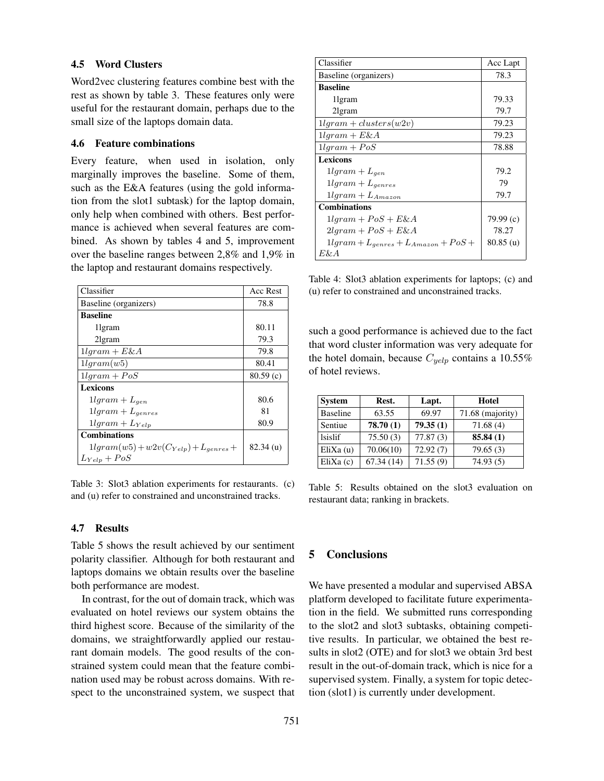#### 4.5 Word Clusters

Word2vec clustering features combine best with the rest as shown by table 3. These features only were useful for the restaurant domain, perhaps due to the small size of the laptops domain data.

#### 4.6 Feature combinations

Every feature, when used in isolation, only marginally improves the baseline. Some of them, such as the E&A features (using the gold information from the slot1 subtask) for the laptop domain, only help when combined with others. Best performance is achieved when several features are combined. As shown by tables 4 and 5, improvement over the baseline ranges between 2,8% and 1,9% in the laptop and restaurant domains respectively.

| Classifier                                  | <b>Acc Rest</b> |
|---------------------------------------------|-----------------|
| Baseline (organizers)                       | 78.8            |
| <b>Baseline</b>                             |                 |
| 1 gram                                      | 80.11           |
| 21gram                                      | 79.3            |
| $11qram + E\&A$                             | 79.8            |
| 11qram(w5)                                  | 80.41           |
| $11qram + PoS$                              | 80.59(c)        |
| Lexicons                                    |                 |
| $11qram + L_{gen}$                          | 80.6            |
| $11qram + L_{genres}$                       | 81              |
| $11qram + L_{Yeln}$                         | 80.9            |
| <b>Combinations</b>                         |                 |
| $1lgram(w5) + w2v(C_{Yelp}) + L_{genses} +$ | 82.34(u)        |
| $L_{Yelp} + PoS$                            |                 |

Table 3: Slot3 ablation experiments for restaurants. (c) and (u) refer to constrained and unconstrained tracks.

#### 4.7 Results

Table 5 shows the result achieved by our sentiment polarity classifier. Although for both restaurant and laptops domains we obtain results over the baseline both performance are modest.

In contrast, for the out of domain track, which was evaluated on hotel reviews our system obtains the third highest score. Because of the similarity of the domains, we straightforwardly applied our restaurant domain models. The good results of the constrained system could mean that the feature combination used may be robust across domains. With respect to the unconstrained system, we suspect that

| Classifier                                | Acc Lapt    |
|-------------------------------------------|-------------|
| Baseline (organizers)                     | 78.3        |
| <b>Baseline</b>                           |             |
| 1 gram                                    | 79.33       |
| 21gram                                    | 79.7        |
| $11qram + clusters(w2v)$                  | 79.23       |
| $11qram + E\&A$                           | 79.23       |
| $11qram + PoS$                            | 78.88       |
| <b>Lexicons</b>                           |             |
| $11qram + L_{gen}$                        | 79.2        |
| $11qram + L_{aenres}$                     | 79          |
| $11qram + L_{Amaxon}$                     | 79.7        |
| <b>Combinations</b>                       |             |
| $11qram + PoS + E\&A$                     | 79.99(c)    |
| $2lgram + PoS + E\&A$                     | 78.27       |
| $1lgram + L_{genes} + L_{Amazon} + PoS +$ | $80.85$ (u) |
| E& A                                      |             |

Table 4: Slot3 ablation experiments for laptops; (c) and (u) refer to constrained and unconstrained tracks.

such a good performance is achieved due to the fact that word cluster information was very adequate for the hotel domain, because  $C_{\text{velp}}$  contains a 10.55% of hotel reviews.

| <b>System</b>   | Rest.     | Lapt.    | Hotel            |
|-----------------|-----------|----------|------------------|
| <b>Baseline</b> | 63.55     | 69.97    | 71.68 (majority) |
| Sentiue         | 78.70(1)  | 79.35(1) | 71.68(4)         |
| <i>sislif</i>   | 75.50(3)  | 77.87(3) | 85.84(1)         |
| EliXa $(u)$     | 70.06(10) | 72.92(7) | 79.65(3)         |
| EliXa (c)       | 67.34(14) | 71.55(9) | 74.93(5)         |

Table 5: Results obtained on the slot3 evaluation on restaurant data; ranking in brackets.

### 5 Conclusions

We have presented a modular and supervised ABSA platform developed to facilitate future experimentation in the field. We submitted runs corresponding to the slot2 and slot3 subtasks, obtaining competitive results. In particular, we obtained the best results in slot2 (OTE) and for slot3 we obtain 3rd best result in the out-of-domain track, which is nice for a supervised system. Finally, a system for topic detection (slot1) is currently under development.